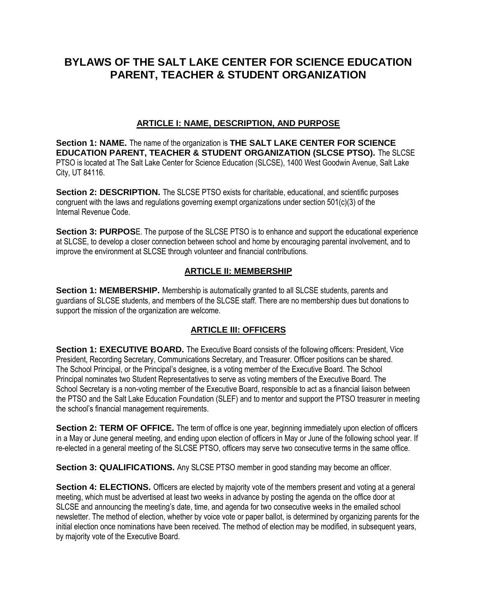# **BYLAWS OF THE SALT LAKE CENTER FOR SCIENCE EDUCATION PARENT, TEACHER & STUDENT ORGANIZATION**

#### **ARTICLE I: NAME, DESCRIPTION, AND PURPOSE**

**Section 1: NAME.** The name of the organization is **THE SALT LAKE CENTER FOR SCIENCE EDUCATION PARENT, TEACHER & STUDENT ORGANIZATION (SLCSE PTSO).** The SLCSE PTSO is located at The Salt Lake Center for Science Education (SLCSE), 1400 West Goodwin Avenue, Salt Lake City, UT 84116.

**Section 2: DESCRIPTION.** The SLCSE PTSO exists for charitable, educational, and scientific purposes congruent with the laws and regulations governing exempt organizations under section 501(c)(3) of the Internal Revenue Code.

**Section 3: PURPOS**E. The purpose of the SLCSE PTSO is to enhance and support the educational experience at SLCSE, to develop a closer connection between school and home by encouraging parental involvement, and to improve the environment at SLCSE through volunteer and financial contributions.

#### **ARTICLE II: MEMBERSHIP**

**Section 1: MEMBERSHIP.** Membership is automatically granted to all SLCSE students, parents and guardians of SLCSE students, and members of the SLCSE staff. There are no membership dues but donations to support the mission of the organization are welcome.

## **ARTICLE III: OFFICERS**

**Section 1: EXECUTIVE BOARD.** The Executive Board consists of the following officers: President, Vice President, Recording Secretary, Communications Secretary, and Treasurer. Officer positions can be shared. The School Principal, or the Principal's designee, is a voting member of the Executive Board. The School Principal nominates two Student Representatives to serve as voting members of the Executive Board. The School Secretary is a non-voting member of the Executive Board, responsible to act as a financial liaison between the PTSO and the Salt Lake Education Foundation (SLEF) and to mentor and support the PTSO treasurer in meeting the school's financial management requirements.

**Section 2: TERM OF OFFICE.** The term of office is one year, beginning immediately upon election of officers in a May or June general meeting, and ending upon election of officers in May or June of the following school year. If re-elected in a general meeting of the SLCSE PTSO, officers may serve two consecutive terms in the same office.

**Section 3: QUALIFICATIONS.** Any SLCSE PTSO member in good standing may become an officer.

**Section 4: ELECTIONS.** Officers are elected by majority vote of the members present and voting at a general meeting, which must be advertised at least two weeks in advance by posting the agenda on the office door at SLCSE and announcing the meeting's date, time, and agenda for two consecutive weeks in the emailed school newsletter. The method of election, whether by voice vote or paper ballot, is determined by organizing parents for the initial election once nominations have been received. The method of election may be modified, in subsequent years, by majority vote of the Executive Board.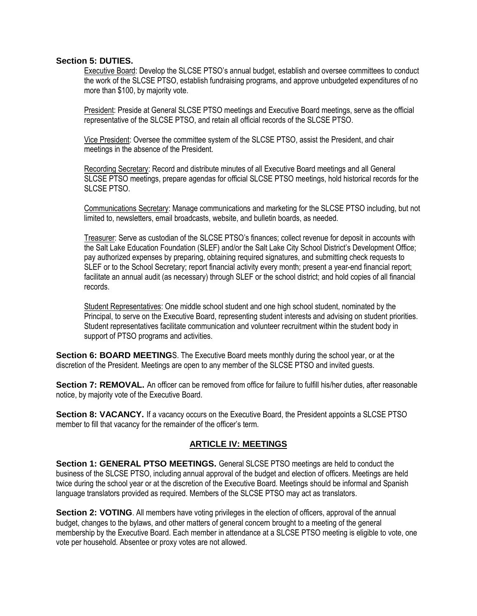#### **Section 5: DUTIES.**

Executive Board: Develop the SLCSE PTSO's annual budget, establish and oversee committees to conduct the work of the SLCSE PTSO, establish fundraising programs, and approve unbudgeted expenditures of no more than \$100, by majority vote.

President: Preside at General SLCSE PTSO meetings and Executive Board meetings, serve as the official representative of the SLCSE PTSO, and retain all official records of the SLCSE PTSO.

Vice President: Oversee the committee system of the SLCSE PTSO, assist the President, and chair meetings in the absence of the President.

Recording Secretary: Record and distribute minutes of all Executive Board meetings and all General SLCSE PTSO meetings, prepare agendas for official SLCSE PTSO meetings, hold historical records for the SLCSE PTSO.

Communications Secretary: Manage communications and marketing for the SLCSE PTSO including, but not limited to, newsletters, email broadcasts, website, and bulletin boards, as needed.

Treasurer: Serve as custodian of the SLCSE PTSO's finances; collect revenue for deposit in accounts with the Salt Lake Education Foundation (SLEF) and/or the Salt Lake City School District's Development Office; pay authorized expenses by preparing, obtaining required signatures, and submitting check requests to SLEF or to the School Secretary; report financial activity every month; present a year-end financial report; facilitate an annual audit (as necessary) through SLEF or the school district; and hold copies of all financial records.

Student Representatives: One middle school student and one high school student, nominated by the Principal, to serve on the Executive Board, representing student interests and advising on student priorities. Student representatives facilitate communication and volunteer recruitment within the student body in support of PTSO programs and activities.

**Section 6: BOARD MEETING**S. The Executive Board meets monthly during the school year, or at the discretion of the President. Meetings are open to any member of the SLCSE PTSO and invited guests.

**Section 7: REMOVAL.** An officer can be removed from office for failure to fulfill his/her duties, after reasonable notice, by majority vote of the Executive Board.

**Section 8: VACANCY.** If a vacancy occurs on the Executive Board, the President appoints a SLCSE PTSO member to fill that vacancy for the remainder of the officer's term.

#### **ARTICLE IV: MEETINGS**

**Section 1: GENERAL PTSO MEETINGS.** General SLCSE PTSO meetings are held to conduct the business of the SLCSE PTSO, including annual approval of the budget and election of officers. Meetings are held twice during the school year or at the discretion of the Executive Board. Meetings should be informal and Spanish language translators provided as required. Members of the SLCSE PTSO may act as translators.

**Section 2: VOTING**. All members have voting privileges in the election of officers, approval of the annual budget, changes to the bylaws, and other matters of general concern brought to a meeting of the general membership by the Executive Board. Each member in attendance at a SLCSE PTSO meeting is eligible to vote, one vote per household. Absentee or proxy votes are not allowed.